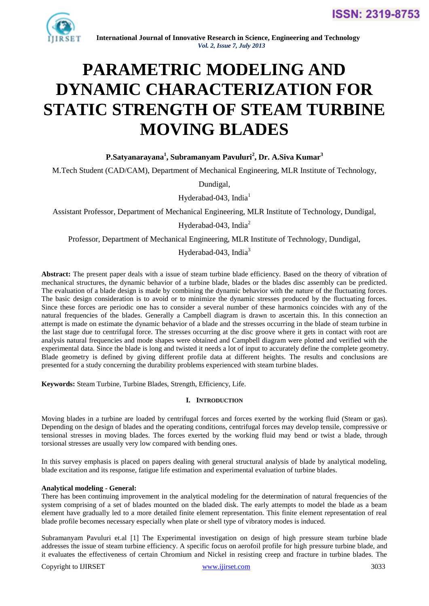

# **PARAMETRIC MODELING AND DYNAMIC CHARACTERIZATION FOR STATIC STRENGTH OF STEAM TURBINE MOVING BLADES**

# **P.Satyanarayana<sup>1</sup> , Subramanyam Pavuluri<sup>2</sup> , Dr. A.Siva Kumar<sup>3</sup>**

M.Tech Student (CAD/CAM), Department of Mechanical Engineering, MLR Institute of Technology,

Dundigal,

Hyderabad-043, India<sup>1</sup>

Assistant Professor, Department of Mechanical Engineering, MLR Institute of Technology, Dundigal,

Hyderabad-043, India $2$ 

Professor, Department of Mechanical Engineering, MLR Institute of Technology, Dundigal,

## Hyderabad-043, India $3$

Abstract: The present paper deals with a issue of steam turbine blade efficiency. Based on the theory of vibration of mechanical structures, the dynamic behavior of a turbine blade, blades or the blades disc assembly can be predicted. The evaluation of a blade design is made by combining the dynamic behavior with the nature of the fluctuating forces. The basic design consideration is to avoid or to minimize the dynamic stresses produced by the fluctuating forces. Since these forces are periodic one has to consider a several number of these harmonics coincides with any of the natural frequencies of the blades. Generally a Campbell diagram is drawn to ascertain this. In this connection an attempt is made on estimate the dynamic behavior of a blade and the stresses occurring in the blade of steam turbine in the last stage due to centrifugal force. The stresses occurring at the disc groove where it gets in contact with root are analysis natural frequencies and mode shapes were obtained and Campbell diagram were plotted and verified with the experimental data. Since the blade is long and twisted it needs a lot of input to accurately define the complete geometry. Blade geometry is defined by giving different profile data at different heights. The results and conclusions are presented for a study concerning the durability problems experienced with steam turbine blades.

**Keywords:** Steam Turbine, Turbine Blades, Strength, Efficiency, Life.

## **I. INTRODUCTION**

Moving blades in a turbine are loaded by centrifugal forces and forces exerted by the working fluid (Steam or gas). Depending on the design of blades and the operating conditions, centrifugal forces may develop tensile, compressive or tensional stresses in moving blades. The forces exerted by the working fluid may bend or twist a blade, through torsional stresses are usually very low compared with bending ones.

In this survey emphasis is placed on papers dealing with general structural analysis of blade by analytical modeling, blade excitation and its response, fatigue life estimation and experimental evaluation of turbine blades.

## **Analytical modeling - General:**

There has been continuing improvement in the analytical modeling for the determination of natural frequencies of the system comprising of a set of blades mounted on the bladed disk. The early attempts to model the blade as a beam element have gradually led to a more detailed finite element representation. This finite element representation of real blade profile becomes necessary especially when plate or shell type of vibratory modes is induced.

Subramanyam Pavuluri et.al [1] The Experimental investigation on design of high pressure steam turbine blade addresses the issue of steam turbine efficiency. A specific focus on aerofoil profile for high pressure turbine blade, and it evaluates the effectiveness of certain Chromium and Nickel in resisting creep and fracture in turbine blades. The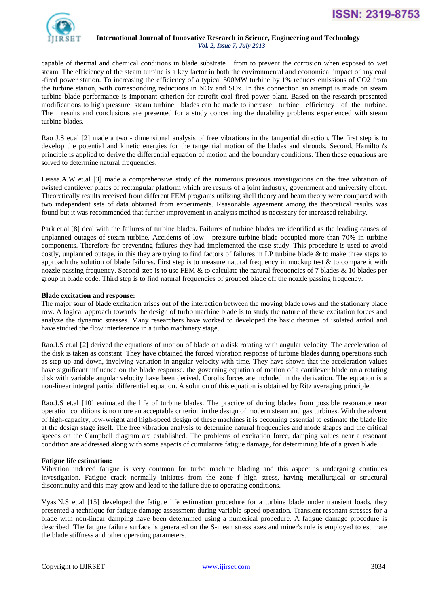

**ISSN: 2319-8753** 

#### **International Journal of Innovative Research in Science, Engineering and Technology**  *Vol. 2, Issue 7, July 2013*

capable of thermal and chemical conditions in blade substrate from to prevent the corrosion when exposed to wet steam. The efficiency of the steam turbine is a key factor in both the environmental and economical impact of any coal -fired power station. To increasing the efficiency of a typical 500MW turbine by 1% reduces emissions of CO2 from the turbine station, with corresponding reductions in NOx and SOx. In this connection an attempt is made on steam turbine blade performance is important criterion for retrofit coal fired power plant. Based on the research presented modifications to high pressure steam turbine blades can be made to increase turbine efficiency of the turbine. The results and conclusions are presented for a study concerning the durability problems experienced with steam turbine blades.

Rao J.S et.al [2] made a two - dimensional analysis of free vibrations in the tangential direction. The first step is to develop the potential and kinetic energies for the tangential motion of the blades and shrouds. Second, Hamilton's principle is applied to derive the differential equation of motion and the boundary conditions. Then these equations are solved to determine natural frequencies.

Leissa.A.W et.al [3] made a comprehensive study of the numerous previous investigations on the free vibration of twisted cantilever plates of rectangular platform which are results of a joint industry, government and university effort. Theoretically results received from different FEM programs utilizing shell theory and beam theory were compared with two independent sets of data obtained from experiments. Reasonable agreement among the theoretical results was found but it was recommended that further improvement in analysis method is necessary for increased reliability.

Park et.al [8] deal with the failures of turbine blades. Failures of turbine blades are identified as the leading causes of unplanned outages of steam turbine. Accidents of low - pressure turbine blade occupied more than 70% in turbine components. Therefore for preventing failures they had implemented the case study. This procedure is used to avoid costly, unplanned outage. in this they are trying to find factors of failures in LP turbine blade  $\&$  to make three steps to approach the solution of blade failures. First step is to measure natural frequency in mockup test  $\&$  to compare it with nozzle passing frequency. Second step is to use FEM  $&$  to calculate the natural frequencies of 7 blades  $& 10$  blades per group in blade code. Third step is to find natural frequencies of grouped blade off the nozzle passing frequency.

## **Blade excitation and response:**

The major sour of blade excitation arises out of the interaction between the moving blade rows and the stationary blade row. A logical approach towards the design of turbo machine blade is to study the nature of these excitation forces and analyze the dynamic stresses. Many researchers have worked to developed the basic theories of isolated airfoil and have studied the flow interference in a turbo machinery stage.

Rao.J.S et.al [2] derived the equations of motion of blade on a disk rotating with angular velocity. The acceleration of the disk is taken as constant. They have obtained the forced vibration response of turbine blades during operations such as step-up and down, involving variation in angular velocity with time. They have shown that the acceleration values have significant influence on the blade response. the governing equation of motion of a cantilever blade on a rotating disk with variable angular velocity have been derived. Corolis forces are included in the derivation. The equation is a non-linear integral partial differential equation. A solution of this equation is obtained by Ritz averaging principle.

Rao.J.S et.al [10] estimated the life of turbine blades. The practice of during blades from possible resonance near operation conditions is no more an acceptable criterion in the design of modern steam and gas turbines. With the advent of high-capacity, low-weight and high-speed design of these machines it is becoming essential to estimate the blade life at the design stage itself. The free vibration analysis to determine natural frequencies and mode shapes and the critical speeds on the Campbell diagram are established. The problems of excitation force, damping values near a resonant condition are addressed along with some aspects of cumulative fatigue damage, for determining life of a given blade.

# **Fatigue life estimation:**

Vibration induced fatigue is very common for turbo machine blading and this aspect is undergoing continues investigation. Fatigue crack normally initiates from the zone f high stress, having metallurgical or structural discontinuity and this may grow and lead to the failure due to operating conditions.

Vyas.N.S et.al [15] developed the fatigue life estimation procedure for a turbine blade under transient loads. they presented a technique for fatigue damage assessment during variable-speed operation. Transient resonant stresses for a blade with non-linear damping have been determined using a numerical procedure. A fatigue damage procedure is described. The fatigue failure surface is generated on the S-mean stress axes and miner's rule is employed to estimate the blade stiffness and other operating parameters.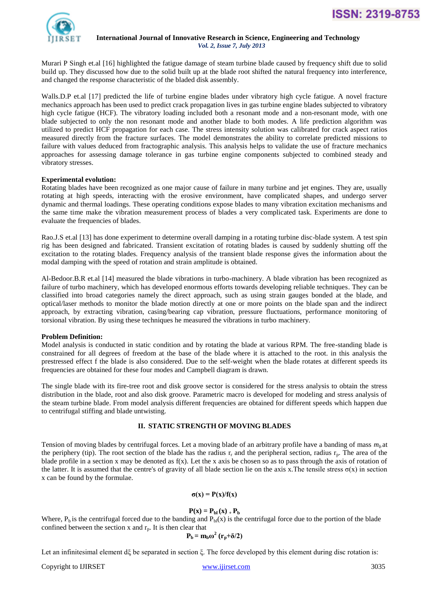



Murari P Singh et.al [16] highlighted the fatigue damage of steam turbine blade caused by frequency shift due to solid build up. They discussed how due to the solid built up at the blade root shifted the natural frequency into interference, and changed the response characteristic of the bladed disk assembly.

Walls.D.P et.al [17] predicted the life of turbine engine blades under vibratory high cycle fatigue. A novel fracture mechanics approach has been used to predict crack propagation lives in gas turbine engine blades subjected to vibratory high cycle fatigue (HCF). The vibratory loading included both a resonant mode and a non-resonant mode, with one blade subjected to only the non resonant mode and another blade to both modes. A life prediction algorithm was utilized to predict HCF propagation for each case. The stress intensity solution was calibrated for crack aspect ratios measured directly from the fracture surfaces. The model demonstrates the ability to correlate predicted missions to failure with values deduced from fractographic analysis. This analysis helps to validate the use of fracture mechanics approaches for assessing damage tolerance in gas turbine engine components subjected to combined steady and vibratory stresses.

#### **Experimental evolution:**

Rotating blades have been recognized as one major cause of failure in many turbine and jet engines. They are, usually rotating at high speeds, interacting with the erosive environment, have complicated shapes, and undergo server dynamic and thermal loadings. These operating conditions expose blades to many vibration excitation mechanisms and the same time make the vibration measurement process of blades a very complicated task. Experiments are done to evaluate the frequencies of blades.

Rao.J.S et.al [13] has done experiment to determine overall damping in a rotating turbine disc-blade system. A test spin rig has been designed and fabricated. Transient excitation of rotating blades is caused by suddenly shutting off the excitation to the rotating blades. Frequency analysis of the transient blade response gives the information about the modal damping with the speed of rotation and strain amplitude is obtained.

Al-Bedoor.B.R et.al [14] measured the blade vibrations in turbo-machinery. A blade vibration has been recognized as failure of turbo machinery, which has developed enormous efforts towards developing reliable techniques. They can be classified into broad categories namely the direct approach, such as using strain gauges bonded at the blade, and optical/laser methods to monitor the blade motion directly at one or more points on the blade span and the indirect approach, by extracting vibration, casing/bearing cap vibration, pressure fluctuations, performance monitoring of torsional vibration. By using these techniques he measured the vibrations in turbo machinery.

## **Problem Definition:**

Model analysis is conducted in static condition and by rotating the blade at various RPM. The free-standing blade is constrained for all degrees of freedom at the base of the blade where it is attached to the root. in this analysis the prestressed effect f the blade is also considered. Due to the self-weight when the blade rotates at different speeds its frequencies are obtained for these four modes and Campbell diagram is drawn.

The single blade with its fire-tree root and disk groove sector is considered for the stress analysis to obtain the stress distribution in the blade, root and also disk groove. Parametric macro is developed for modeling and stress analysis of the steam turbine blade. From model analysis different frequencies are obtained for different speeds which happen due to centrifugal stiffing and blade untwisting.

## **II. STATIC STRENGTH OF MOVING BLADES**

Tension of moving blades by centrifugal forces. Let a moving blade of an arbitrary profile have a banding of mass *mb* at the periphery (tip). The root section of the blade has the radius  $r_r$  and the peripheral section, radius  $r_p$ . The area of the blade profile in a section x may be denoted as  $f(x)$ . Let the x axis be chosen so as to pass through the axis of rotation of the latter. It is assumed that the centre's of gravity of all blade section lie on the axis x. The tensile stress  $\sigma(x)$  in section x can be found by the formulae.

## $\sigma(x) = P(x)/f(x)$

## $P(x) = P_{bl}(x) + P_{bl}(x)$

Where,  $P_b$  is the centrifugal forced due to the banding and  $P_b(x)$  is the centrifugal force due to the portion of the blade confined between the section x and  $r_p$ . It is then clear that

$$
\mathbf{P}_{\mathbf{b}} = \mathbf{m}_{\mathbf{b}} \boldsymbol{\omega}^2 \left( \mathbf{r}_{\mathbf{p}} + \delta/2 \right)
$$

Let an infinitesimal element dξ be separated in section ξ. The force developed by this element during disc rotation is:

Copyright to IJIRSET [www.ijirset.com](http://www.ijirset.com/) 3035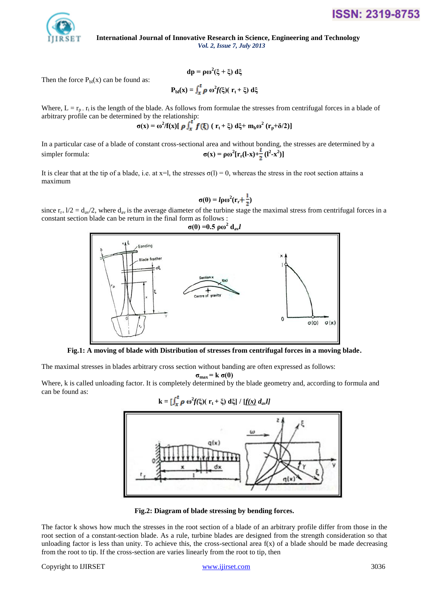

Then the force  $P_{bl}(x)$  can be found as:

$$
P_{bl}(x) = \int_x^t \rho \omega^2 f(\xi) (r_t + \xi) d\xi
$$

**dp = ρω<sup>2</sup> (ξ + ξ) dξ**

Where,  $L = r_p$ .  $r_t$  is the length of the blade. As follows from formulae the stresses from centrifugal forces in a blade of arbitrary profile can be determined by the relationship:

$$
\sigma(x) = \omega^2 / f(x) [\rho \int_x^t f(\xi) (r_t + \xi) d\xi + m_b \omega^2 (r_p + \delta/2)]
$$

In a particular case of a blade of constant cross-sectional area and without bonding, the stresses are determined by a  $simpler formula:$  $[\mathbf{r}_r(\mathbf{l-x}) + \frac{1}{2}(\mathbf{l^2-x^2})]$ 

It is clear that at the tip of a blade, i.e. at  $x=1$ , the stresses  $\sigma(1) = 0$ , whereas the stress in the root section attains a maximum

$$
\sigma(0) = l \rho \omega^2 (\mathbf{r}_r + \frac{1}{2})
$$

since  $r_{r+} 1/2 = d_{av}/2$ , where  $d_{av}$  is the average diameter of the turbine stage the maximal stress from centrifugal forces in a constant section blade can be return in the final form as follows :



**Fig.1: A moving of blade with Distribution of stresses from centrifugal forces in a moving blade.**

The maximal stresses in blades arbitrary cross section without banding are often expressed as follows:

 $\sigma_{\text{max}}$  = k  $\sigma$ (0)

Where, k is called unloading factor. It is completely determined by the blade geometry and, according to formula and can be found as:

$$
\mathbf{k} = \left[\int_x^{\mathbf{r}} \boldsymbol{\rho} \, \omega^2 f(\xi) (\mathbf{r}_t + \xi) \, d\xi \right] / \left[f(x) \, d_{av}l\right]
$$



**Fig.2: Diagram of blade stressing by bending forces.**

The factor k shows how much the stresses in the root section of a blade of an arbitrary profile differ from those in the root section of a constant-section blade. As a rule, turbine blades are designed from the strength consideration so that unloading factor is less than unity. To achieve this, the cross-sectional area  $f(x)$  of a blade should be made decreasing from the root to tip. If the cross-section are varies linearly from the root to tip, then

## Copyright to IJIRSET [www.ijirset.com](http://www.ijirset.com/) 3036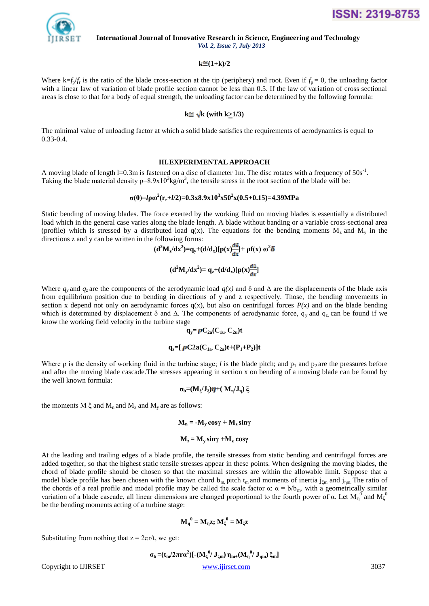

#### $k \approx (1+k)/2$

Where  $k=f_p/f_r$  is the ratio of the blade cross-section at the tip (periphery) and root. Even if  $f_p = 0$ , the unloading factor with a linear law of variation of blade profile section cannot be less than 0.5. If the law of variation of cross sectional areas is close to that for a body of equal strength, the unloading factor can be determined by the following formula:

# $k \approx \sqrt{k}$  (with  $k \geq 1/3$ )

The minimal value of unloading factor at which a solid blade satisfies the requirements of aerodynamics is equal to 0.33-0.4.

#### **III.EXPERIMENTAL APPROACH**

A moving blade of length  $l=0.3$ m is fastened on a disc of diameter 1m. The disc rotates with a frequency of  $50s^{-1}$ . Taking the blade material density  $p=8.9 \times 10^3 \text{kg/m}^3$ , the tensile stress in the root section of the blade will be:

# **σ(0)=***l***ρω<sup>2</sup> (rr+***l***/2)=0.3x8.9x10<sup>3</sup> x50<sup>2</sup> x(0.5+0.15)=4.39MPa**

Static bending of moving blades. The force exerted by the working fluid on moving blades is essentially a distributed load which in the general case varies along the blade length. A blade without banding or a variable cross-sectional area (profile) which is stressed by a distributed load  $q(x)$ . The equations for the bending moments  $M_z$  and  $M_y$  in the directions z and y can be written in the following forms:

$$
(d^2M_z/dx^2) = q_y + (d/d_x)[p(x)\frac{d\phi}{dx}] + pf(x) \omega^2 \delta
$$
  

$$
(d^2M_y/dx^2) = q_z + (d/d_x)[p(x)\frac{d\Delta}{dx}]
$$

Where  $q$ <sub>*y*</sub> and  $q$ <sub>*z*</sub> are the components of the aerodynamic load  $q(x)$  and  $\delta$  and  $\Delta$  are the displacements of the blade axis from equilibrium position due to bending in directions of y and z respectively. Those, the bending movements in section x depend not only on aerodynamic forces  $q(x)$ , but also on centrifugal forces  $P(x)$  and on the blade bending which is determined by displacement  $\delta$  and  $\Delta$ . The components of aerodynamic force, q<sub>y</sub> and q<sub>z</sub> can be found if we know the working field velocity in the turbine stage

$$
q_y\!\!=\!\boldsymbol{\rho} C_{2a}(C_{1u}\!\cdot\!C_{2u})t
$$

$$
q_z = [\rho C2a(C_{1a} C_{2a})t + (P_1 + P_2)]t
$$

Where  $\rho$  is the density of working fluid in the turbine stage; *l* is the blade pitch; and  $p_1$  and  $p_2$  are the pressures before and after the moving blade cascade.The stresses appearing in section x on bending of a moving blade can be found by the well known formula:

$$
\sigma_b{=}(M_{\xi}/J_{\xi})\pmb{\eta}+(M_{\eta}/J_{\eta})\,\xi
$$

the moments  $M \xi$  and  $M_n$  and  $M_\chi$  and  $M_\nu$  are as follows:

**M<sup>n</sup> = -M<sup>y</sup> cosγ + Mz sinγ**

## $M_z = M_v \sin\gamma + M_z \cos\gamma$

At the leading and trailing edges of a blade profile, the tensile stresses from static bending and centrifugal forces are added together, so that the highest static tensile stresses appear in these points. When designing the moving blades, the chord of blade profile should be chosen so that the maximal stresses are within the allowable limit. Suppose that a model blade profile has been chosen with the known chord  $b_m$ , pitch t<sub>m</sub> and moments of inertia j<sub>čm</sub> and j<sub>ηm.</sub> The ratio of the chords of a real profile and model profile may be called the scale factor  $\alpha$ :  $\alpha = b/b_m$ . with a geometrically similar variation of a blade cascade, all linear dimensions are changed proportional to the fourth power of  $\alpha$ . Let  $M_{\eta}^0$  and  $M_{\xi}^0$ be the bending moments acting of a turbine stage:

$$
\mathbf{M}_{\eta}^{0} = \mathbf{M}_{\eta} \mathbf{z}; \, \mathbf{M}_{\xi}^{0} = \mathbf{M}_{\xi} \mathbf{z}
$$

Substituting from nothing that  $z = 2\pi r/t$ , we get:

Copyright to IJIRSET [www.ijirset.com](http://www.ijirset.com/) 3037 **σ**<sub>**b**</sub> = (**t**<sub>m</sub>/2πrα<sup>2</sup>)[-(**M**<sub>ξ</sub><sup>0</sup>/ **J**<sub>ξm</sub>)  $\eta$ <sub>m+</sub>(**M**<sub>η</sub><sup>0</sup>/ **J**<sub>ηm</sub>) ξ<sub>m</sub>]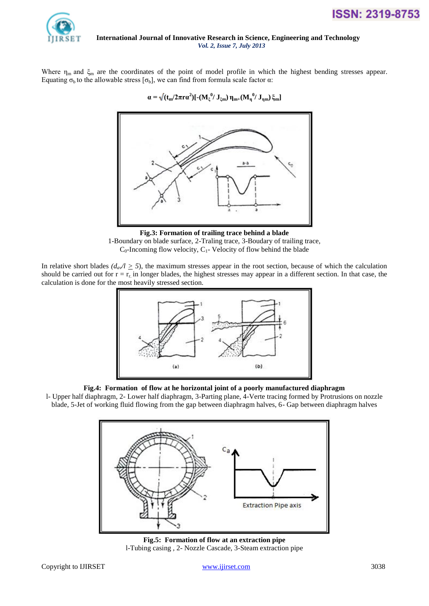



Where  $\eta_m$  and  $\xi_m$  are the coordinates of the point of model profile in which the highest bending stresses appear. Equating  $\sigma_b$  to the allowable stress  $[\sigma_b]$ , we can find from formula scale factor  $\alpha$ :



**Fig.3: Formation of trailing trace behind a blade** 1-Boundary on blade surface, 2-Traling trace, 3-Boudary of trailing trace,  $C_0$ -Incoming flow velocity,  $C_1$ - Velocity of flow behind the blade

In relative short blades  $(d_{a}/l \ge 5)$ , the maximum stresses appear in the root section, because of which the calculation should be carried out for  $r = r_r$  in longer blades, the highest stresses may appear in a different section. In that case, the calculation is done for the most heavily stressed section.



# **Fig.4: Formation of flow at he horizontal joint of a poorly manufactured diaphragm**

l- Upper half diaphragm, 2- Lower half diaphragm, 3-Parting plane, 4-Verte tracing formed by Protrusions on nozzle blade, 5-Jet of working fluid flowing from the gap between diaphragm halves, 6- Gap between diaphragm halves



**Fig.5: Formation of flow at an extraction pipe**  l-Tubing casing , 2- Nozzle Cascade, 3-Steam extraction pipe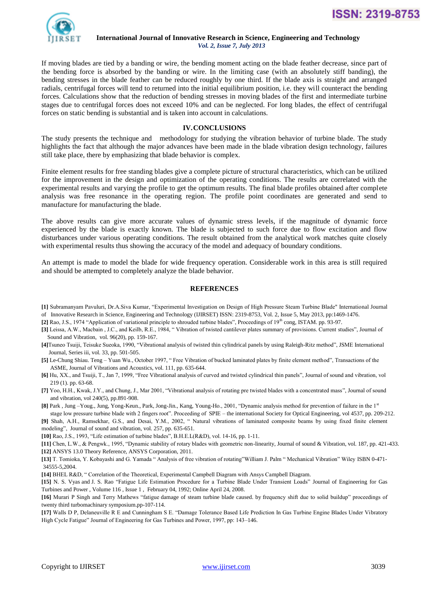

If moving blades are tied by a banding or wire, the bending moment acting on the blade feather decrease, since part of the bending force is absorbed by the banding or wire. In the limiting case (with an absolutely stiff banding), the bending stresses in the blade feather can be reduced roughly by one third. If the blade axis is straight and arranged radials, centrifugal forces will tend to returned into the initial equilibrium position, i.e. they will counteract the bending forces. Calculations show that the reduction of bending stresses in moving blades of the first and intermediate turbine stages due to centrifugal forces does not exceed 10% and can be neglected. For long blades, the effect of centrifugal forces on static bending is substantial and is taken into account in calculations.

#### **IV.CONCLUSIONS**

The study presents the technique and methodology for studying the vibration behavior of turbine blade. The study highlights the fact that although the major advances have been made in the blade vibration design technology, failures still take place, there by emphasizing that blade behavior is complex.

Finite element results for free standing blades give a complete picture of structural characteristics, which can be utilized for the improvement in the design and optimization of the operating conditions. The results are correlated with the experimental results and varying the profile to get the optimum results. The final blade profiles obtained after complete analysis was free resonance in the operating region. The profile point coordinates are generated and send to manufacture for manufacturing the blade.

The above results can give more accurate values of dynamic stress levels, if the magnitude of dynamic force experienced by the blade is exactly known. The blade is subjected to such force due to flow excitation and flow disturbances under various operating conditions. The result obtained from the analytical work matches quite closely with experimental results thus showing the accuracy of the model and adequacy of boundary conditions.

An attempt is made to model the blade for wide frequency operation. Considerable work in this area is still required and should be attempted to completely analyze the blade behavior.

#### **REFERENCES**

- **[1]** Subramanyam Pavuluri, Dr.A.Siva Kumar, "Experimental Investigation on Design of High Pressure Steam Turbine Blade" International Journal
- of Innovative Research in Science, Engineering and Technology (IJIRSET) ISSN: 2319-8753, Vol. 2, Issue 5, May 2013, pp:1469-1476.
- **[2]** Rao, J.S., 1974 "Application of variational principle to shrouded turbine blades", Proceedings of 19th cong, ISTAM. pp. 93-97.
- **[3]** Leissa, A.W., Macbain , J.C., and Keilb, R.E., 1984, " Vibration of twisted cantilever plates summary of provisions. Current studies", Journal of Sound and Vibration, vol. 96(20), pp. 159-167.
- **[4]**Tsuneo Tsuiji, Teisuke Sueoka, 1990, "Vibrational analysis of twisted thin cylindrical panels by using Raleigh-Ritz method", JSME International Journal, Series iii, vol. 33, pp. 501-505.
- **[5]** Le-Chung Shiau. Teng Yuan Wu., October 1997, " Free Vibration of bucked laminated plates by finite element method", Transactions of the ASME, Journal of Vibrations and Acoustics, vol. 111, pp. 635-644.
- **[6]** Hu, XX., and Tsuiji, T., Jan 7, 1999, "Free Vibrational analysis of curved and twisted cylindrical thin panels", Journal of sound and vibration, vol 219 (1). pp. 63-68.
- **[7]** Yoo, H.H., Kwak, J.Y., and Chung, J., Mar 2001, "Vibrational analysis of rotating pre twisted blades with a concentrated mass", Journal of sound and vibration, vol 240(5), pp.891-908.
- **[8]** Park , Jung –Youg., Jung, Yong-Keun., Park, Jong-Jin., Kang, Young-Ho., 2001, "Dynamic analysis method for prevention of failure in the 1st stage low pressure turbine blade with 2 fingers root". Proceeding of SPIE – the international Society for Optical Engineering, vol 4537, pp. 209-212.

**[9]** Shah, A.H., Ramsekhar, G.S., and Desai, Y.M., 2002, " Natural vibrations of laminated composite beams by using fixed finite element modeling", Journal of sound and vibration, vol. 257, pp. 635-651.

**[10]** Rao, J.S., 1993, "Life estimation of turbine blades", B.H.E.L(R&D), vol. 14-16, pp. 1-11.

**[11]** Chen, L.W., & Pengwk., 1995, "Dynamic stability of rotary blades with geometric non-linearity, Journal of sound & Vibration, vol. 187, pp. 421-433.

**[12]** ANSYS 13.0 Theory Reference, ANSYS Corporation, 2011.

**[13]** T. Tomioka, Y. Kobayashi and G. Yamada " Analysis of free vibration of rotating"William J. Palm " Mechanical Vibration" Wiley ISBN 0-471- 34555-5,2004.

**[14]** BHEL R&D, " Correlation of the Theoretical, Experimental Campbell Diagram with Ansys Campbell Diagram.

**[15]** [N. S. Vyas](http://gasturbinespower.asmedigitalcollection.asme.org/searchresults.aspx?q=N.%20S.%20Vyas&p=1&s=19&c=0&t=) and [J. S. Rao](http://gasturbinespower.asmedigitalcollection.asme.org/searchresults.aspx?q=J.%20S.%20Rao&p=1&s=19&c=0&t=) "Fatigue Life Estimation Procedure for a Turbine Blade Under Transient Loads" [Journal of Engineering for Gas](http://gasturbinespower.asmedigitalcollection.asme.org/issue.aspx?journalid=120&issueid=26722)  [Turbines and Power , Volume 116 , Issue 1 ,](http://gasturbinespower.asmedigitalcollection.asme.org/issue.aspx?journalid=120&issueid=26722) February 04, 1992; Online April 24, 2008.

**[16]** Murari P Singh and Terry Mathews "fatigue damage of steam turbine blade caused. by frequency shift due to solid buildup" proceedings of twenty third turbomachinary symposium.pp-107-114.

**[17]** Walls D P, Delaneuville R E and Cunningham S E. "Damage Tolerance Based Life Prediction In Gas Turbine Engine Blades Under Vibratory High Cycle Fatigue" Journal of Engineering for Gas Turbines and Power, 1997, pp: 143–146.